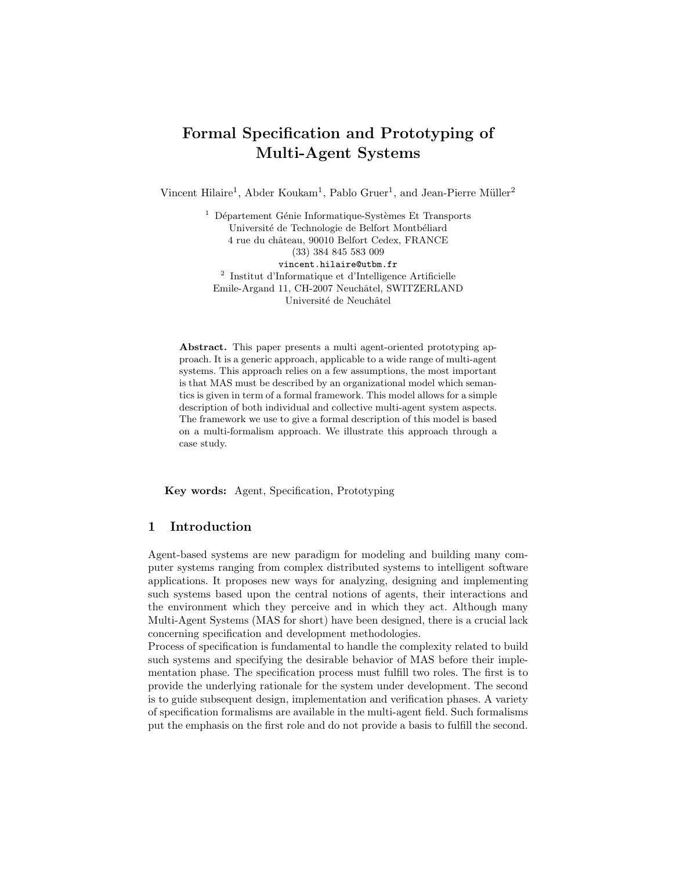# Formal Specification and Prototyping of Multi-Agent Systems

Vincent Hilaire<sup>1</sup>, Abder Koukam<sup>1</sup>, Pablo Gruer<sup>1</sup>, and Jean-Pierre Müller<sup>2</sup>

 $<sup>1</sup>$  Département Génie Informatique-Systèmes Et Transports</sup> Université de Technologie de Belfort Montbéliard 4 rue du chˆateau, 90010 Belfort Cedex, FRANCE (33) 384 845 583 009 vincent.hilaire@utbm.fr 2 Institut d'Informatique et d'Intelligence Artificielle Emile-Argand 11, CH-2007 Neuchâtel, SWITZERLAND Université de Neuchâtel

Abstract. This paper presents a multi agent-oriented prototyping approach. It is a generic approach, applicable to a wide range of multi-agent systems. This approach relies on a few assumptions, the most important is that MAS must be described by an organizational model which semantics is given in term of a formal framework. This model allows for a simple description of both individual and collective multi-agent system aspects. The framework we use to give a formal description of this model is based on a multi-formalism approach. We illustrate this approach through a case study.

Key words: Agent, Specification, Prototyping

# 1 Introduction

Agent-based systems are new paradigm for modeling and building many computer systems ranging from complex distributed systems to intelligent software applications. It proposes new ways for analyzing, designing and implementing such systems based upon the central notions of agents, their interactions and the environment which they perceive and in which they act. Although many Multi-Agent Systems (MAS for short) have been designed, there is a crucial lack concerning specification and development methodologies.

Process of specification is fundamental to handle the complexity related to build such systems and specifying the desirable behavior of MAS before their implementation phase. The specification process must fulfill two roles. The first is to provide the underlying rationale for the system under development. The second is to guide subsequent design, implementation and verification phases. A variety of specification formalisms are available in the multi-agent field. Such formalisms put the emphasis on the first role and do not provide a basis to fulfill the second.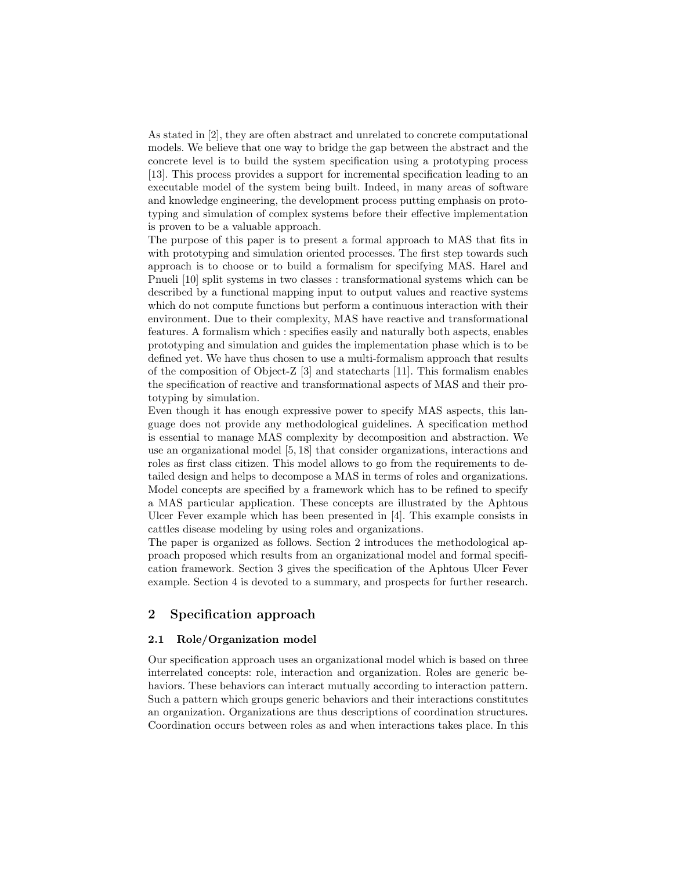As stated in [2], they are often abstract and unrelated to concrete computational models. We believe that one way to bridge the gap between the abstract and the concrete level is to build the system specification using a prototyping process [13]. This process provides a support for incremental specification leading to an executable model of the system being built. Indeed, in many areas of software and knowledge engineering, the development process putting emphasis on prototyping and simulation of complex systems before their effective implementation is proven to be a valuable approach.

The purpose of this paper is to present a formal approach to MAS that fits in with prototyping and simulation oriented processes. The first step towards such approach is to choose or to build a formalism for specifying MAS. Harel and Pnueli [10] split systems in two classes : transformational systems which can be described by a functional mapping input to output values and reactive systems which do not compute functions but perform a continuous interaction with their environment. Due to their complexity, MAS have reactive and transformational features. A formalism which : specifies easily and naturally both aspects, enables prototyping and simulation and guides the implementation phase which is to be defined yet. We have thus chosen to use a multi-formalism approach that results of the composition of Object-Z [3] and statecharts [11]. This formalism enables the specification of reactive and transformational aspects of MAS and their prototyping by simulation.

Even though it has enough expressive power to specify MAS aspects, this language does not provide any methodological guidelines. A specification method is essential to manage MAS complexity by decomposition and abstraction. We use an organizational model [5, 18] that consider organizations, interactions and roles as first class citizen. This model allows to go from the requirements to detailed design and helps to decompose a MAS in terms of roles and organizations. Model concepts are specified by a framework which has to be refined to specify a MAS particular application. These concepts are illustrated by the Aphtous Ulcer Fever example which has been presented in [4]. This example consists in cattles disease modeling by using roles and organizations.

The paper is organized as follows. Section 2 introduces the methodological approach proposed which results from an organizational model and formal specification framework. Section 3 gives the specification of the Aphtous Ulcer Fever example. Section 4 is devoted to a summary, and prospects for further research.

# 2 Specification approach

#### 2.1 Role/Organization model

Our specification approach uses an organizational model which is based on three interrelated concepts: role, interaction and organization. Roles are generic behaviors. These behaviors can interact mutually according to interaction pattern. Such a pattern which groups generic behaviors and their interactions constitutes an organization. Organizations are thus descriptions of coordination structures. Coordination occurs between roles as and when interactions takes place. In this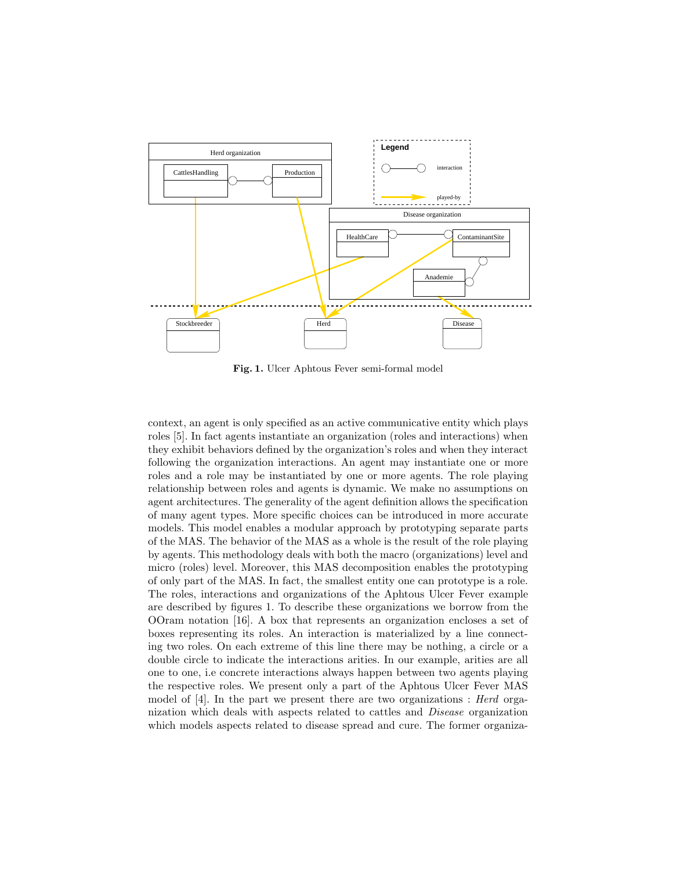

Fig. 1. Ulcer Aphtous Fever semi-formal model

context, an agent is only specified as an active communicative entity which plays roles [5]. In fact agents instantiate an organization (roles and interactions) when they exhibit behaviors defined by the organization's roles and when they interact following the organization interactions. An agent may instantiate one or more roles and a role may be instantiated by one or more agents. The role playing relationship between roles and agents is dynamic. We make no assumptions on agent architectures. The generality of the agent definition allows the specification of many agent types. More specific choices can be introduced in more accurate models. This model enables a modular approach by prototyping separate parts of the MAS. The behavior of the MAS as a whole is the result of the role playing by agents. This methodology deals with both the macro (organizations) level and micro (roles) level. Moreover, this MAS decomposition enables the prototyping of only part of the MAS. In fact, the smallest entity one can prototype is a role. The roles, interactions and organizations of the Aphtous Ulcer Fever example are described by figures 1. To describe these organizations we borrow from the OOram notation [16]. A box that represents an organization encloses a set of boxes representing its roles. An interaction is materialized by a line connecting two roles. On each extreme of this line there may be nothing, a circle or a double circle to indicate the interactions arities. In our example, arities are all one to one, i.e concrete interactions always happen between two agents playing the respective roles. We present only a part of the Aphtous Ulcer Fever MAS model of  $[4]$ . In the part we present there are two organizations : Herd organization which deals with aspects related to cattles and Disease organization which models aspects related to disease spread and cure. The former organiza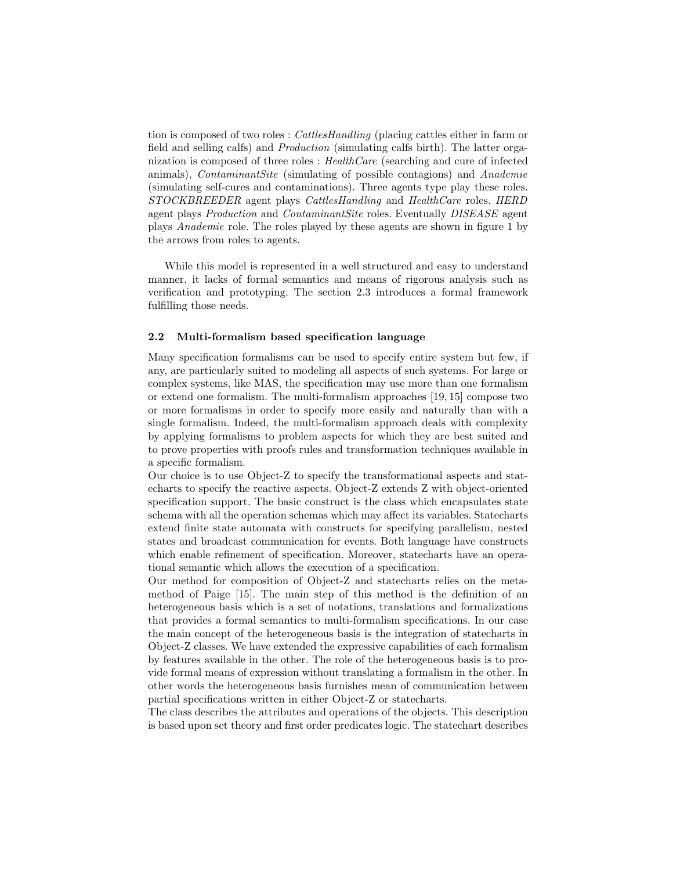tion is composed of two roles : CattlesHandling (placing cattles either in farm or field and selling calfs) and Production (simulating calfs birth). The latter organization is composed of three roles : HealthCare (searching and cure of infected animals), ContaminantSite (simulating of possible contagions) and Anademie (simulating self-cures and contaminations). Three agents type play these roles. STOCKBREEDER agent plays CattlesHandling and HealthCare roles. HERD agent plays Production and ContaminantSite roles. Eventually DISEASE agent plays Anademie role. The roles played by these agents are shown in figure 1 by the arrows from roles to agents.

While this model is represented in a well structured and easy to understand manner, it lacks of formal semantics and means of rigorous analysis such as verification and prototyping. The section 2.3 introduces a formal framework fulfilling those needs.

### 2.2 Multi-formalism based specification language

Many specification formalisms can be used to specify entire system but few, if any, are particularly suited to modeling all aspects of such systems. For large or complex systems, like MAS, the specification may use more than one formalism or extend one formalism. The multi-formalism approaches [19, 15] compose two or more formalisms in order to specify more easily and naturally than with a single formalism. Indeed, the multi-formalism approach deals with complexity by applying formalisms to problem aspects for which they are best suited and to prove properties with proofs rules and transformation techniques available in a specific formalism.

Our choice is to use Object-Z to specify the transformational aspects and statecharts to specify the reactive aspects. Object-Z extends Z with object-oriented specification support. The basic construct is the class which encapsulates state schema with all the operation schemas which may affect its variables. Statecharts extend finite state automata with constructs for specifying parallelism, nested states and broadcast communication for events. Both language have constructs which enable refinement of specification. Moreover, statecharts have an operational semantic which allows the execution of a specification.

Our method for composition of Object-Z and statecharts relies on the metamethod of Paige [15]. The main step of this method is the definition of an heterogeneous basis which is a set of notations, translations and formalizations that provides a formal semantics to multi-formalism specifications. In our case the main concept of the heterogeneous basis is the integration of statecharts in Object-Z classes. We have extended the expressive capabilities of each formalism by features available in the other. The role of the heterogeneous basis is to provide formal means of expression without translating a formalism in the other. In other words the heterogeneous basis furnishes mean of communication between partial specifications written in either Object-Z or statecharts.

The class describes the attributes and operations of the objects. This description is based upon set theory and first order predicates logic. The statechart describes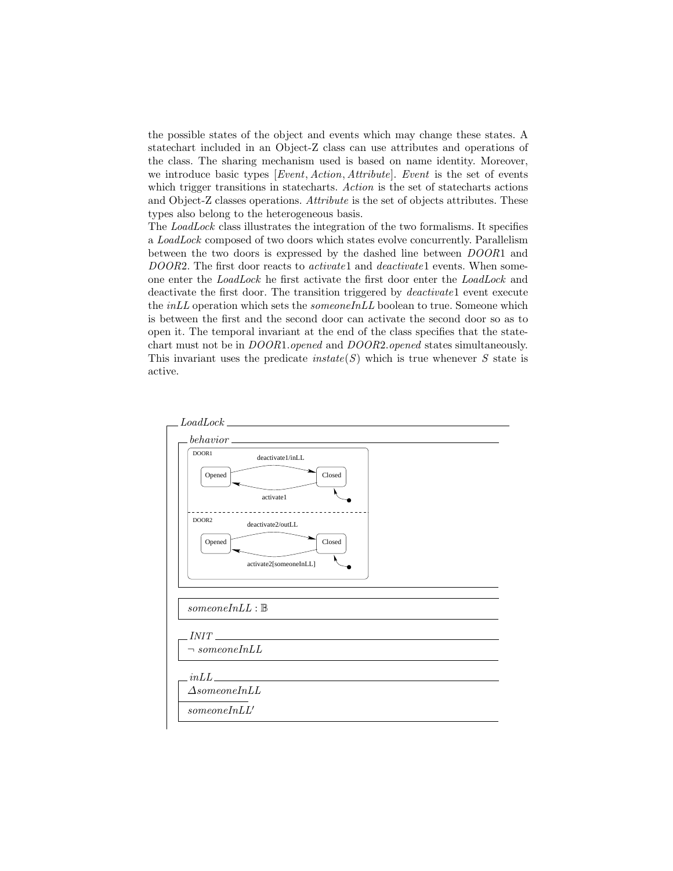the possible states of the object and events which may change these states. A statechart included in an Object-Z class can use attributes and operations of the class. The sharing mechanism used is based on name identity. Moreover, we introduce basic types [Event, Action, Attribute]. Event is the set of events which trigger transitions in statecharts. Action is the set of statecharts actions and Object-Z classes operations. Attribute is the set of objects attributes. These types also belong to the heterogeneous basis.

The LoadLock class illustrates the integration of the two formalisms. It specifies a LoadLock composed of two doors which states evolve concurrently. Parallelism between the two doors is expressed by the dashed line between DOOR1 and DOOR2. The first door reacts to activate1 and deactivate1 events. When someone enter the LoadLock he first activate the first door enter the LoadLock and deactivate the first door. The transition triggered by deactivate1 event execute the *inLL* operation which sets the *someoneInLL* boolean to true. Someone which is between the first and the second door can activate the second door so as to open it. The temporal invariant at the end of the class specifies that the statechart must not be in DOOR1.opened and DOOR2.opened states simultaneously. This invariant uses the predicate  $instate(S)$  which is true whenever S state is active.

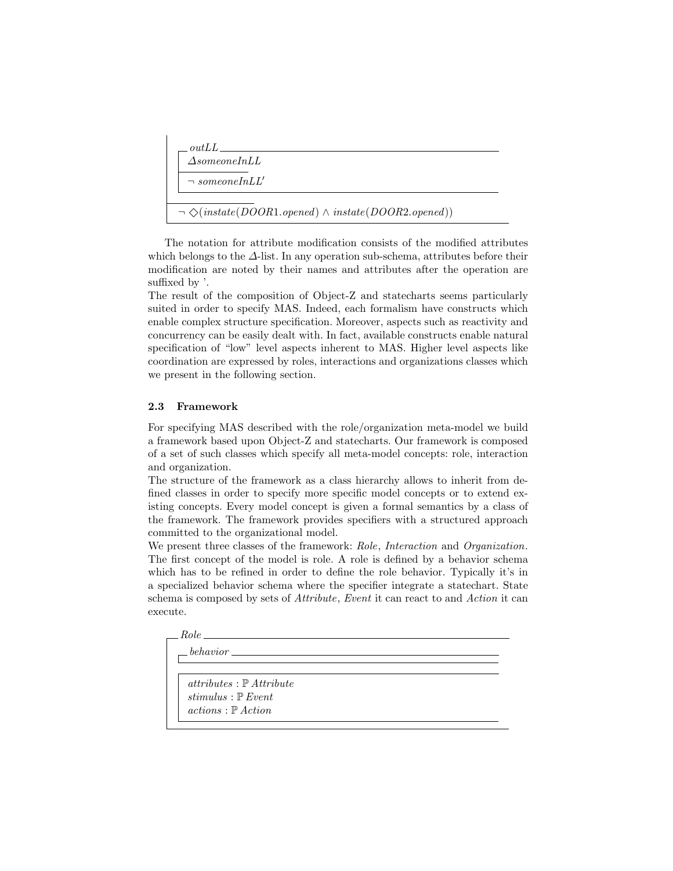outLL ∆someoneInLL  $\neg$  someoneInLL'

```
\neg \diamond (instance(DOOR1.opened) \land instate(DOOR2.opened))
```
The notation for attribute modification consists of the modified attributes which belongs to the  $\Delta$ -list. In any operation sub-schema, attributes before their modification are noted by their names and attributes after the operation are suffixed by '.

The result of the composition of Object-Z and statecharts seems particularly suited in order to specify MAS. Indeed, each formalism have constructs which enable complex structure specification. Moreover, aspects such as reactivity and concurrency can be easily dealt with. In fact, available constructs enable natural specification of "low" level aspects inherent to MAS. Higher level aspects like coordination are expressed by roles, interactions and organizations classes which we present in the following section.

### 2.3 Framework

For specifying MAS described with the role/organization meta-model we build a framework based upon Object-Z and statecharts. Our framework is composed of a set of such classes which specify all meta-model concepts: role, interaction and organization.

The structure of the framework as a class hierarchy allows to inherit from defined classes in order to specify more specific model concepts or to extend existing concepts. Every model concept is given a formal semantics by a class of the framework. The framework provides specifiers with a structured approach committed to the organizational model.

We present three classes of the framework: Role, Interaction and Organization. The first concept of the model is role. A role is defined by a behavior schema which has to be refined in order to define the role behavior. Typically it's in a specialized behavior schema where the specifier integrate a statechart. State schema is composed by sets of *Attribute*, *Event* it can react to and *Action* it can execute.

Role

 $\mathbf{L}^{behavior}$ 

 $attributes$  :  ${\mathbb P}$   $Attribute$  $stimulus: \mathbb{P}$  Event actions : P Action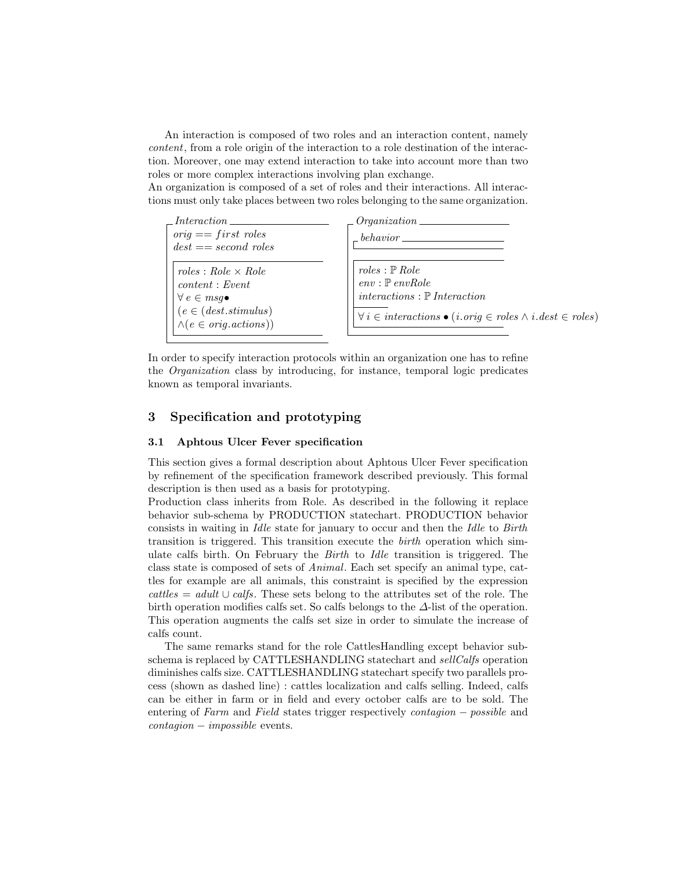An interaction is composed of two roles and an interaction content, namely content, from a role origin of the interaction to a role destination of the interaction. Moreover, one may extend interaction to take into account more than two roles or more complex interactions involving plan exchange.

An organization is composed of a set of roles and their interactions. All interactions must only take places between two roles belonging to the same organization.



In order to specify interaction protocols within an organization one has to refine the Organization class by introducing, for instance, temporal logic predicates known as temporal invariants.

# 3 Specification and prototyping

### 3.1 Aphtous Ulcer Fever specification

This section gives a formal description about Aphtous Ulcer Fever specification by refinement of the specification framework described previously. This formal description is then used as a basis for prototyping.

Production class inherits from Role. As described in the following it replace behavior sub-schema by PRODUCTION statechart. PRODUCTION behavior consists in waiting in *Idle* state for january to occur and then the *Idle* to *Birth* transition is triggered. This transition execute the birth operation which simulate calfs birth. On February the Birth to Idle transition is triggered. The class state is composed of sets of Animal. Each set specify an animal type, cattles for example are all animals, this constraint is specified by the expression cattles = adult ∪ calfs. These sets belong to the attributes set of the role. The birth operation modifies calfs set. So calfs belongs to the  $\Delta$ -list of the operation. This operation augments the calfs set size in order to simulate the increase of calfs count.

The same remarks stand for the role CattlesHandling except behavior subschema is replaced by CATTLESHANDLING statechart and sellCalfs operation diminishes calfs size. CATTLESHANDLING statechart specify two parallels process (shown as dashed line) : cattles localization and calfs selling. Indeed, calfs can be either in farm or in field and every october calfs are to be sold. The entering of Farm and Field states trigger respectively contagion − possible and  $contagion - *impossible*$  events.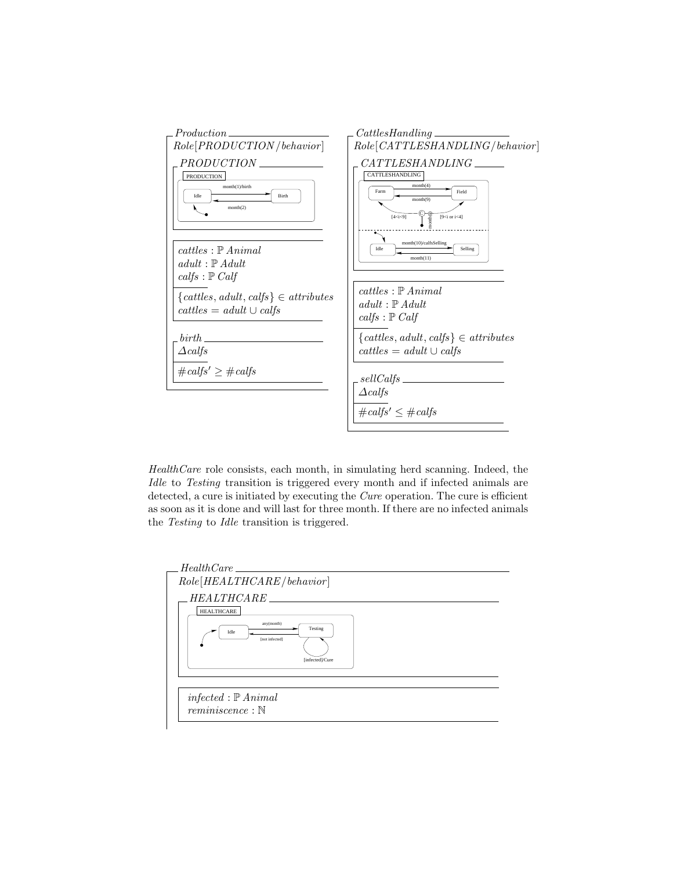

HealthCare role consists, each month, in simulating herd scanning. Indeed, the Idle to Testing transition is triggered every month and if infected animals are detected, a cure is initiated by executing the *Cure* operation. The cure is efficient as soon as it is done and will last for three month. If there are no infected animals the Testing to Idle transition is triggered.

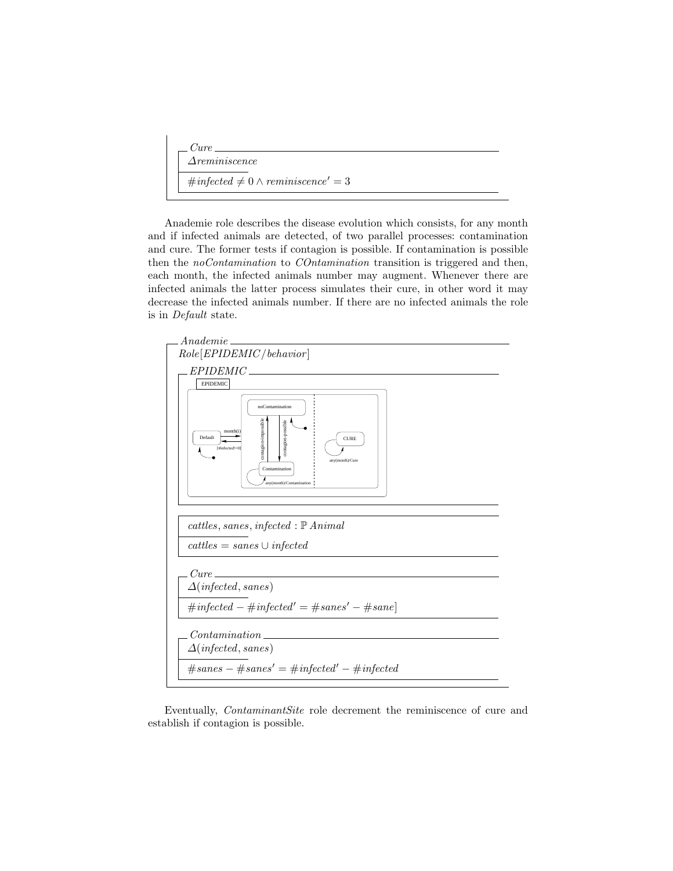```
Cure
∆reminiscence
#infected \neq 0 \wedge reminiscence' = 3
```
Anademie role describes the disease evolution which consists, for any month and if infected animals are detected, of two parallel processes: contamination and cure. The former tests if contagion is possible. If contamination is possible then the *noContamination* to *COntamination* transition is triggered and then, each month, the infected animals number may augment. Whenever there are infected animals the latter process simulates their cure, in other word it may decrease the infected animals number. If there are no infected animals the role is in Default state.



Eventually, ContaminantSite role decrement the reminiscence of cure and establish if contagion is possible.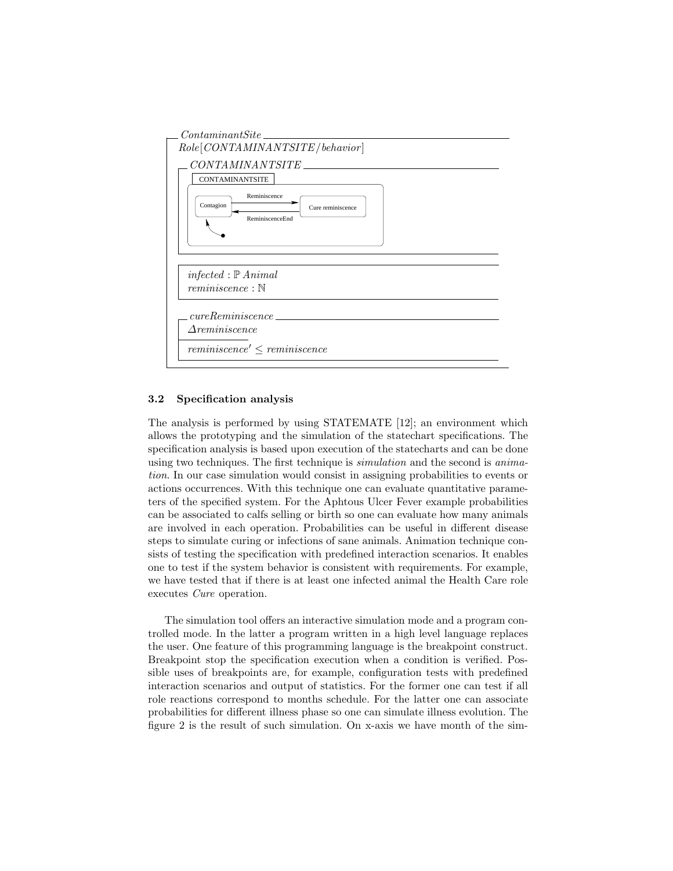

### 3.2 Specification analysis

The analysis is performed by using STATEMATE [12]; an environment which allows the prototyping and the simulation of the statechart specifications. The specification analysis is based upon execution of the statecharts and can be done using two techniques. The first technique is *simulation* and the second is *anima*tion. In our case simulation would consist in assigning probabilities to events or actions occurrences. With this technique one can evaluate quantitative parameters of the specified system. For the Aphtous Ulcer Fever example probabilities can be associated to calfs selling or birth so one can evaluate how many animals are involved in each operation. Probabilities can be useful in different disease steps to simulate curing or infections of sane animals. Animation technique consists of testing the specification with predefined interaction scenarios. It enables one to test if the system behavior is consistent with requirements. For example, we have tested that if there is at least one infected animal the Health Care role executes Cure operation.

The simulation tool offers an interactive simulation mode and a program controlled mode. In the latter a program written in a high level language replaces the user. One feature of this programming language is the breakpoint construct. Breakpoint stop the specification execution when a condition is verified. Possible uses of breakpoints are, for example, configuration tests with predefined interaction scenarios and output of statistics. For the former one can test if all role reactions correspond to months schedule. For the latter one can associate probabilities for different illness phase so one can simulate illness evolution. The figure 2 is the result of such simulation. On x-axis we have month of the sim-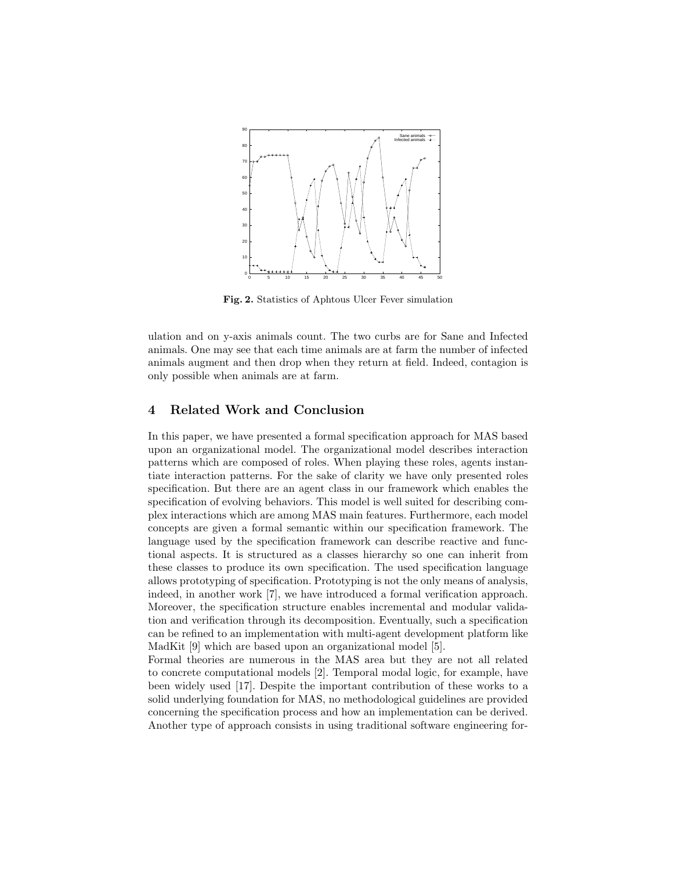

Fig. 2. Statistics of Aphtous Ulcer Fever simulation

ulation and on y-axis animals count. The two curbs are for Sane and Infected animals. One may see that each time animals are at farm the number of infected animals augment and then drop when they return at field. Indeed, contagion is only possible when animals are at farm.

### 4 Related Work and Conclusion

In this paper, we have presented a formal specification approach for MAS based upon an organizational model. The organizational model describes interaction patterns which are composed of roles. When playing these roles, agents instantiate interaction patterns. For the sake of clarity we have only presented roles specification. But there are an agent class in our framework which enables the specification of evolving behaviors. This model is well suited for describing complex interactions which are among MAS main features. Furthermore, each model concepts are given a formal semantic within our specification framework. The language used by the specification framework can describe reactive and functional aspects. It is structured as a classes hierarchy so one can inherit from these classes to produce its own specification. The used specification language allows prototyping of specification. Prototyping is not the only means of analysis, indeed, in another work [7], we have introduced a formal verification approach. Moreover, the specification structure enables incremental and modular validation and verification through its decomposition. Eventually, such a specification can be refined to an implementation with multi-agent development platform like MadKit [9] which are based upon an organizational model [5].

Formal theories are numerous in the MAS area but they are not all related to concrete computational models [2]. Temporal modal logic, for example, have been widely used [17]. Despite the important contribution of these works to a solid underlying foundation for MAS, no methodological guidelines are provided concerning the specification process and how an implementation can be derived. Another type of approach consists in using traditional software engineering for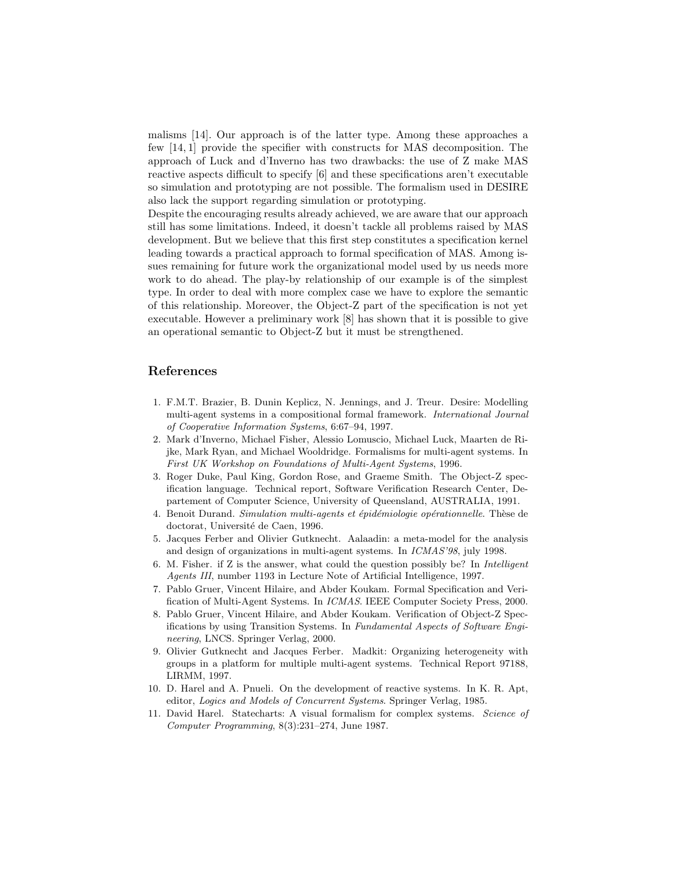malisms [14]. Our approach is of the latter type. Among these approaches a few [14, 1] provide the specifier with constructs for MAS decomposition. The approach of Luck and d'Inverno has two drawbacks: the use of Z make MAS reactive aspects difficult to specify [6] and these specifications aren't executable so simulation and prototyping are not possible. The formalism used in DESIRE also lack the support regarding simulation or prototyping.

Despite the encouraging results already achieved, we are aware that our approach still has some limitations. Indeed, it doesn't tackle all problems raised by MAS development. But we believe that this first step constitutes a specification kernel leading towards a practical approach to formal specification of MAS. Among issues remaining for future work the organizational model used by us needs more work to do ahead. The play-by relationship of our example is of the simplest type. In order to deal with more complex case we have to explore the semantic of this relationship. Moreover, the Object-Z part of the specification is not yet executable. However a preliminary work [8] has shown that it is possible to give an operational semantic to Object-Z but it must be strengthened.

# References

- 1. F.M.T. Brazier, B. Dunin Keplicz, N. Jennings, and J. Treur. Desire: Modelling multi-agent systems in a compositional formal framework. International Journal of Cooperative Information Systems, 6:67–94, 1997.
- 2. Mark d'Inverno, Michael Fisher, Alessio Lomuscio, Michael Luck, Maarten de Rijke, Mark Ryan, and Michael Wooldridge. Formalisms for multi-agent systems. In First UK Workshop on Foundations of Multi-Agent Systems, 1996.
- 3. Roger Duke, Paul King, Gordon Rose, and Graeme Smith. The Object-Z specification language. Technical report, Software Verification Research Center, Departement of Computer Science, University of Queensland, AUSTRALIA, 1991.
- 4. Benoit Durand. Simulation multi-agents et épidémiologie opérationnelle. Thèse de doctorat, Université de Caen, 1996.
- 5. Jacques Ferber and Olivier Gutknecht. Aalaadin: a meta-model for the analysis and design of organizations in multi-agent systems. In ICMAS'98, july 1998.
- 6. M. Fisher. if Z is the answer, what could the question possibly be? In Intelligent Agents III, number 1193 in Lecture Note of Artificial Intelligence, 1997.
- 7. Pablo Gruer, Vincent Hilaire, and Abder Koukam. Formal Specification and Verification of Multi-Agent Systems. In ICMAS. IEEE Computer Society Press, 2000.
- 8. Pablo Gruer, Vincent Hilaire, and Abder Koukam. Verification of Object-Z Specifications by using Transition Systems. In Fundamental Aspects of Software Engineering, LNCS. Springer Verlag, 2000.
- 9. Olivier Gutknecht and Jacques Ferber. Madkit: Organizing heterogeneity with groups in a platform for multiple multi-agent systems. Technical Report 97188, LIRMM, 1997.
- 10. D. Harel and A. Pnueli. On the development of reactive systems. In K. R. Apt, editor, Logics and Models of Concurrent Systems. Springer Verlag, 1985.
- 11. David Harel. Statecharts: A visual formalism for complex systems. Science of Computer Programming, 8(3):231–274, June 1987.